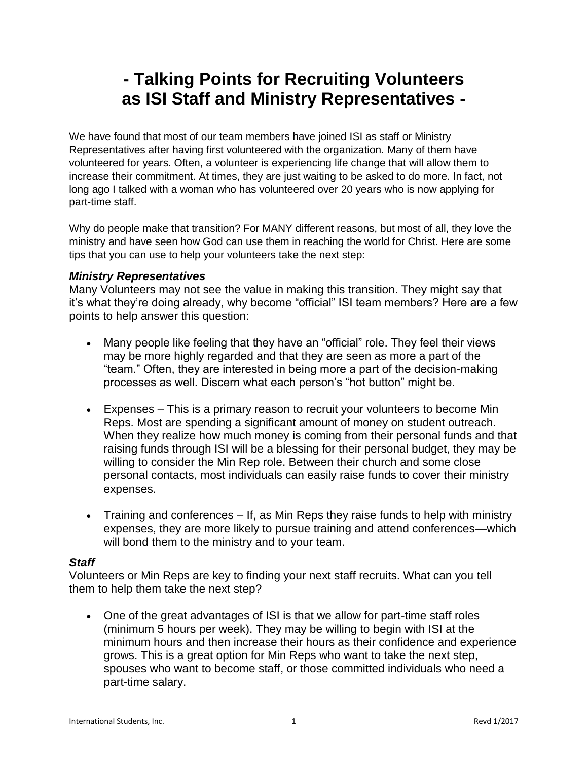## **- Talking Points for Recruiting Volunteers as ISI Staff and Ministry Representatives -**

We have found that most of our team members have joined ISI as staff or Ministry Representatives after having first volunteered with the organization. Many of them have volunteered for years. Often, a volunteer is experiencing life change that will allow them to increase their commitment. At times, they are just waiting to be asked to do more. In fact, not long ago I talked with a woman who has volunteered over 20 years who is now applying for part-time staff.

Why do people make that transition? For MANY different reasons, but most of all, they love the ministry and have seen how God can use them in reaching the world for Christ. Here are some tips that you can use to help your volunteers take the next step:

## *Ministry Representatives*

Many Volunteers may not see the value in making this transition. They might say that it's what they're doing already, why become "official" ISI team members? Here are a few points to help answer this question:

- Many people like feeling that they have an "official" role. They feel their views may be more highly regarded and that they are seen as more a part of the "team." Often, they are interested in being more a part of the decision-making processes as well. Discern what each person's "hot button" might be.
- Expenses This is a primary reason to recruit your volunteers to become Min Reps. Most are spending a significant amount of money on student outreach. When they realize how much money is coming from their personal funds and that raising funds through ISI will be a blessing for their personal budget, they may be willing to consider the Min Rep role. Between their church and some close personal contacts, most individuals can easily raise funds to cover their ministry expenses.
- Training and conferences If, as Min Reps they raise funds to help with ministry expenses, they are more likely to pursue training and attend conferences—which will bond them to the ministry and to your team.

## *Staff*

Volunteers or Min Reps are key to finding your next staff recruits. What can you tell them to help them take the next step?

 One of the great advantages of ISI is that we allow for part-time staff roles (minimum 5 hours per week). They may be willing to begin with ISI at the minimum hours and then increase their hours as their confidence and experience grows. This is a great option for Min Reps who want to take the next step, spouses who want to become staff, or those committed individuals who need a part-time salary.